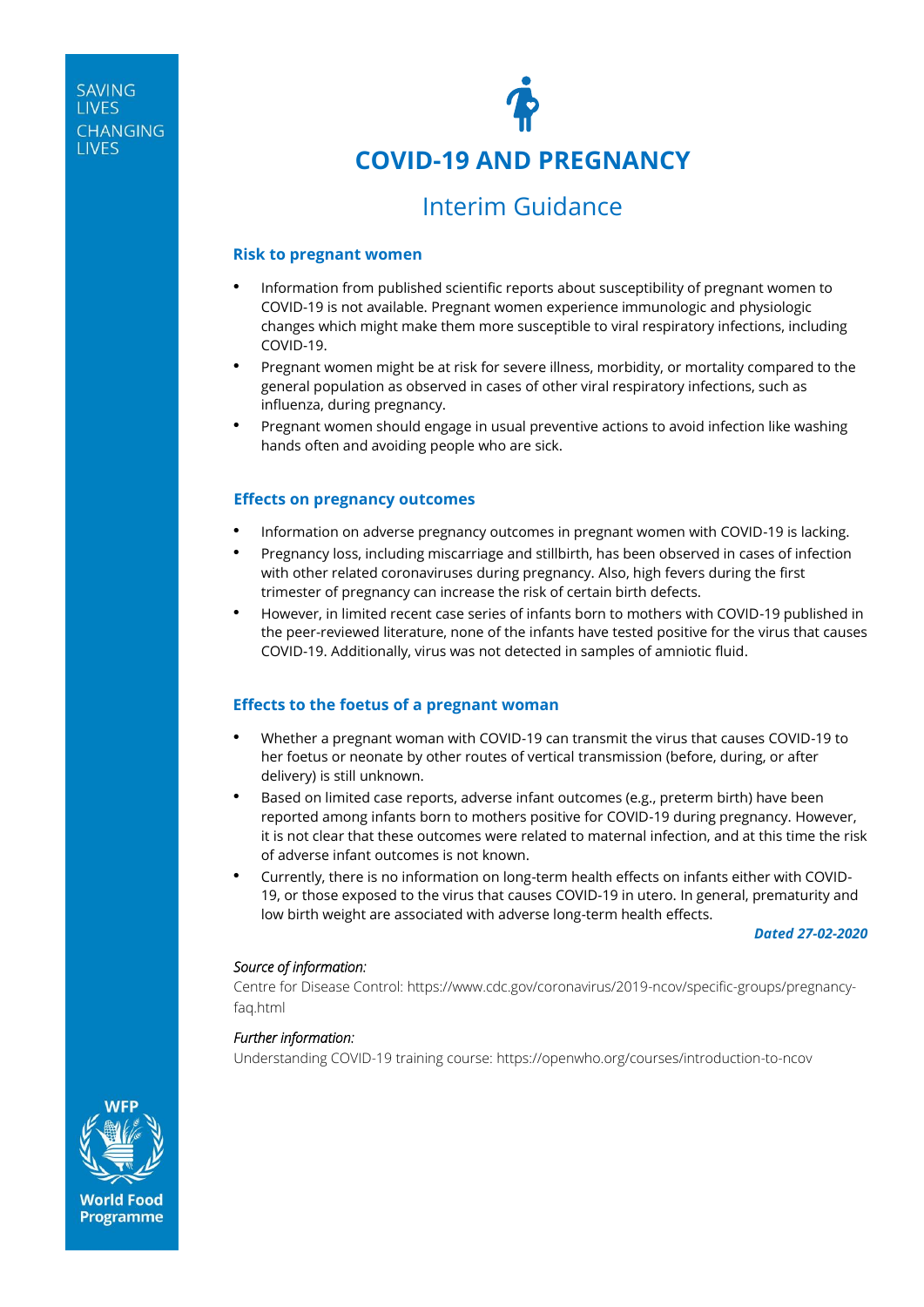

# **COVID-19 AND PREGNANCY**

# Interim Guidance

#### **Risk to pregnant women**

- Information from published scientific reports about susceptibility of pregnant women to COVID-19 is not available. Pregnant women experience immunologic and physiologic changes which might make them more susceptible to viral respiratory infections, including COVID-19.
- Pregnant women might be at risk for severe illness, morbidity, or mortality compared to the general population as observed in cases of other viral respiratory infections, such as influenza, during pregnancy.
- Pregnant women should engage in usual preventive actions to avoid infection like washing hands often and avoiding people who are sick.

## **Effects on pregnancy outcomes**

- Information on adverse pregnancy outcomes in pregnant women with COVID-19 is lacking.
- Pregnancy loss, including miscarriage and stillbirth, has been observed in cases of infection with other related coronaviruses during pregnancy. Also, high fevers during the first trimester of pregnancy can increase the risk of certain birth defects.
- However, in limited recent case series of infants born to mothers with COVID-19 published in the peer-reviewed literature, none of the infants have tested positive for the virus that causes COVID-19. Additionally, virus was not detected in samples of amniotic fluid.

## **Effects to the foetus of a pregnant woman**

- Whether a pregnant woman with COVID-19 can transmit the virus that causes COVID-19 to her foetus or neonate by other routes of vertical transmission (before, during, or after delivery) is still unknown.
- Based on limited case reports, adverse infant outcomes (e.g., preterm birth) have been reported among infants born to mothers positive for COVID-19 during pregnancy. However, it is not clear that these outcomes were related to maternal infection, and at this time the risk of adverse infant outcomes is not known.
- Currently, there is no information on long-term health effects on infants either with COVID-19, or those exposed to the virus that causes COVID-19 in utero. In general, prematurity and low birth weight are associated with adverse long-term health effects.

*Dated 27-02-2020*

#### *Source of information:*

Centre for Disease Control: [https://www.cdc.gov/coronavirus/2019-ncov/specific-groups/pregnancy](https://www.cdc.gov/coronavirus/2019-ncov/specific-groups/pregnancy-faq.html)[faq.html](https://www.cdc.gov/coronavirus/2019-ncov/specific-groups/pregnancy-faq.html)

#### *Further information:*

Understanding COVID-19 training course:<https://openwho.org/courses/introduction-to-ncov>